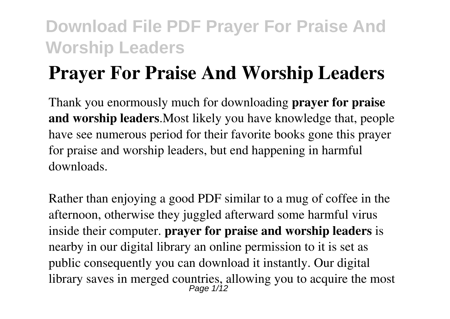# **Prayer For Praise And Worship Leaders**

Thank you enormously much for downloading **prayer for praise and worship leaders**.Most likely you have knowledge that, people have see numerous period for their favorite books gone this prayer for praise and worship leaders, but end happening in harmful downloads.

Rather than enjoying a good PDF similar to a mug of coffee in the afternoon, otherwise they juggled afterward some harmful virus inside their computer. **prayer for praise and worship leaders** is nearby in our digital library an online permission to it is set as public consequently you can download it instantly. Our digital library saves in merged countries, allowing you to acquire the most Page 1/12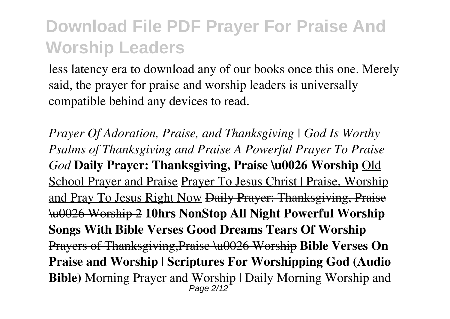less latency era to download any of our books once this one. Merely said, the prayer for praise and worship leaders is universally compatible behind any devices to read.

*Prayer Of Adoration, Praise, and Thanksgiving | God Is Worthy Psalms of Thanksgiving and Praise A Powerful Prayer To Praise God* **Daily Prayer: Thanksgiving, Praise \u0026 Worship** Old School Prayer and Praise Prayer To Jesus Christ | Praise, Worship and Pray To Jesus Right Now Daily Prayer: Thanksgiving, Praise \u0026 Worship 2 **10hrs NonStop All Night Powerful Worship Songs With Bible Verses Good Dreams Tears Of Worship** Prayers of Thanksgiving,Praise \u0026 Worship **Bible Verses On Praise and Worship | Scriptures For Worshipping God (Audio Bible)** Morning Prayer and Worship | Daily Morning Worship and Page 2/12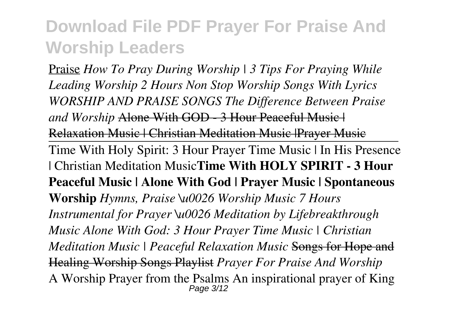Praise *How To Pray During Worship | 3 Tips For Praying While Leading Worship 2 Hours Non Stop Worship Songs With Lyrics WORSHIP AND PRAISE SONGS The Difference Between Praise and Worship* Alone With GOD - 3 Hour Peaceful Music | Relaxation Music | Christian Meditation Music |Prayer Music Time With Holy Spirit: 3 Hour Prayer Time Music | In His Presence | Christian Meditation Music**Time With HOLY SPIRIT - 3 Hour Peaceful Music | Alone With God | Prayer Music | Spontaneous Worship** *Hymns, Praise \u0026 Worship Music 7 Hours Instrumental for Prayer \u0026 Meditation by Lifebreakthrough Music Alone With God: 3 Hour Prayer Time Music | Christian Meditation Music | Peaceful Relaxation Music* Songs for Hope and Healing Worship Songs Playlist *Prayer For Praise And Worship* A Worship Prayer from the Psalms An inspirational prayer of King Page 3/12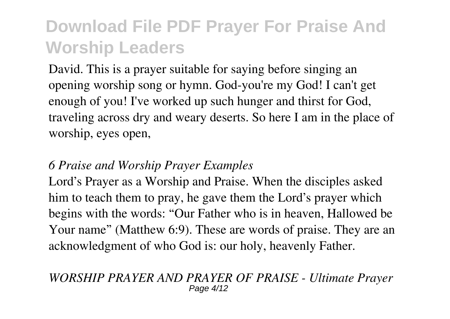David. This is a prayer suitable for saying before singing an opening worship song or hymn. God-you're my God! I can't get enough of you! I've worked up such hunger and thirst for God, traveling across dry and weary deserts. So here I am in the place of worship, eyes open,

#### *6 Praise and Worship Prayer Examples*

Lord's Prayer as a Worship and Praise. When the disciples asked him to teach them to pray, he gave them the Lord's prayer which begins with the words: "Our Father who is in heaven, Hallowed be Your name" (Matthew 6:9). These are words of praise. They are an acknowledgment of who God is: our holy, heavenly Father.

#### *WORSHIP PRAYER AND PRAYER OF PRAISE - Ultimate Prayer* Page 4/12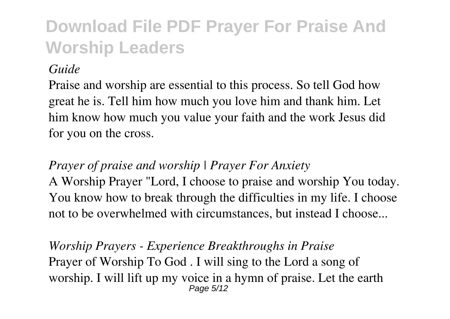*Guide*

Praise and worship are essential to this process. So tell God how great he is. Tell him how much you love him and thank him. Let him know how much you value your faith and the work Jesus did for you on the cross.

#### *Prayer of praise and worship | Prayer For Anxiety*

A Worship Prayer "Lord, I choose to praise and worship You today. You know how to break through the difficulties in my life. I choose not to be overwhelmed with circumstances, but instead I choose...

*Worship Prayers - Experience Breakthroughs in Praise* Prayer of Worship To God . I will sing to the Lord a song of worship. I will lift up my voice in a hymn of praise. Let the earth Page 5/12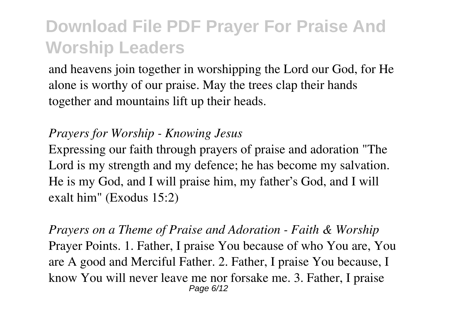and heavens join together in worshipping the Lord our God, for He alone is worthy of our praise. May the trees clap their hands together and mountains lift up their heads.

#### *Prayers for Worship - Knowing Jesus*

Expressing our faith through prayers of praise and adoration "The Lord is my strength and my defence; he has become my salvation. He is my God, and I will praise him, my father's God, and I will exalt him" (Exodus 15:2)

*Prayers on a Theme of Praise and Adoration - Faith & Worship* Prayer Points. 1. Father, I praise You because of who You are, You are A good and Merciful Father. 2. Father, I praise You because, I know You will never leave me nor forsake me. 3. Father, I praise Page 6/12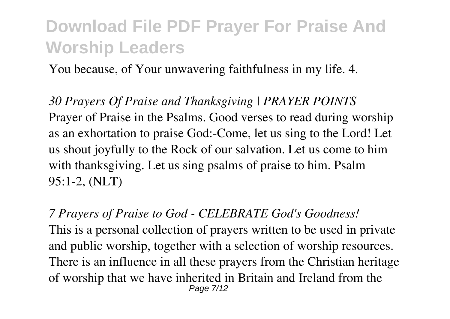You because, of Your unwavering faithfulness in my life. 4.

*30 Prayers Of Praise and Thanksgiving | PRAYER POINTS* Prayer of Praise in the Psalms. Good verses to read during worship as an exhortation to praise God:-Come, let us sing to the Lord! Let us shout joyfully to the Rock of our salvation. Let us come to him with thanksgiving. Let us sing psalms of praise to him. Psalm 95:1-2, (NLT)

*7 Prayers of Praise to God - CELEBRATE God's Goodness!* This is a personal collection of prayers written to be used in private and public worship, together with a selection of worship resources. There is an influence in all these prayers from the Christian heritage of worship that we have inherited in Britain and Ireland from the Page 7/12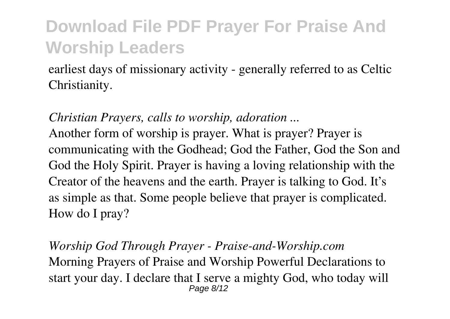earliest days of missionary activity - generally referred to as Celtic Christianity.

*Christian Prayers, calls to worship, adoration ...*

Another form of worship is prayer. What is prayer? Prayer is communicating with the Godhead; God the Father, God the Son and God the Holy Spirit. Prayer is having a loving relationship with the Creator of the heavens and the earth. Prayer is talking to God. It's as simple as that. Some people believe that prayer is complicated. How do I pray?

*Worship God Through Prayer - Praise-and-Worship.com* Morning Prayers of Praise and Worship Powerful Declarations to start your day. I declare that I serve a mighty God, who today will Page 8/12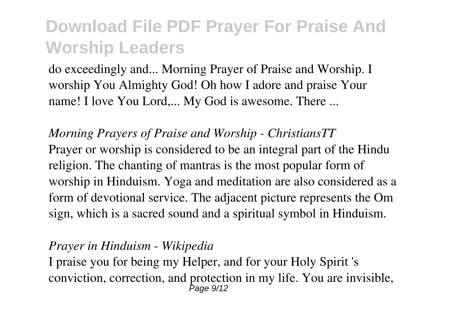do exceedingly and... Morning Prayer of Praise and Worship. I worship You Almighty God! Oh how I adore and praise Your name! I love You Lord,... My God is awesome. There ...

*Morning Prayers of Praise and Worship - ChristiansTT* Prayer or worship is considered to be an integral part of the Hindu religion. The chanting of mantras is the most popular form of worship in Hinduism. Yoga and meditation are also considered as a form of devotional service. The adjacent picture represents the Om sign, which is a sacred sound and a spiritual symbol in Hinduism.

#### *Prayer in Hinduism - Wikipedia*

I praise you for being my Helper, and for your Holy Spirit 's conviction, correction, and protection in my life. You are invisible, Page 9/12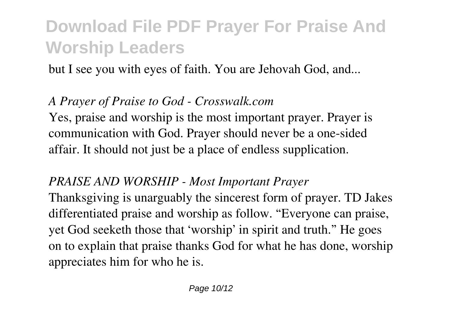but I see you with eyes of faith. You are Jehovah God, and...

#### *A Prayer of Praise to God - Crosswalk.com*

Yes, praise and worship is the most important prayer. Prayer is communication with God. Prayer should never be a one-sided affair. It should not just be a place of endless supplication.

#### *PRAISE AND WORSHIP - Most Important Prayer*

Thanksgiving is unarguably the sincerest form of prayer. TD Jakes differentiated praise and worship as follow. "Everyone can praise, yet God seeketh those that 'worship' in spirit and truth." He goes on to explain that praise thanks God for what he has done, worship appreciates him for who he is.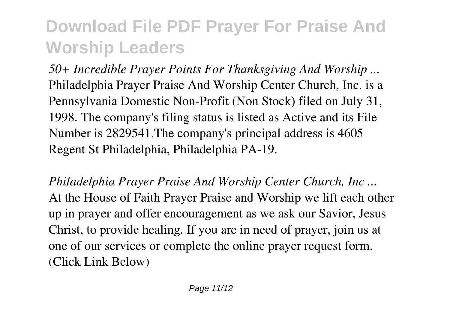*50+ Incredible Prayer Points For Thanksgiving And Worship ...* Philadelphia Prayer Praise And Worship Center Church, Inc. is a Pennsylvania Domestic Non-Profit (Non Stock) filed on July 31, 1998. The company's filing status is listed as Active and its File Number is 2829541.The company's principal address is 4605 Regent St Philadelphia, Philadelphia PA-19.

*Philadelphia Prayer Praise And Worship Center Church, Inc ...* At the House of Faith Prayer Praise and Worship we lift each other up in prayer and offer encouragement as we ask our Savior, Jesus Christ, to provide healing. If you are in need of prayer, join us at one of our services or complete the online prayer request form. (Click Link Below)